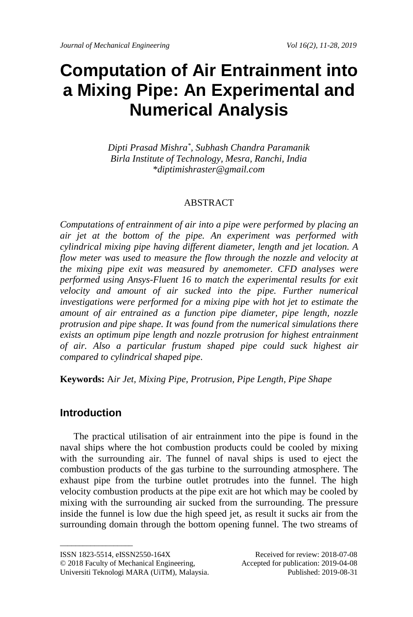# **Computation of Air Entrainment into a Mixing Pipe: An Experimental and Numerical Analysis**

*Dipti Prasad Mishra\* , Subhash Chandra Paramanik Birla Institute of Technology, Mesra, Ranchi, India \*diptimishraster@gmail.com*

## ABSTRACT

*Computations of entrainment of air into a pipe were performed by placing an air jet at the bottom of the pipe. An experiment was performed with cylindrical mixing pipe having different diameter, length and jet location. A flow meter was used to measure the flow through the nozzle and velocity at the mixing pipe exit was measured by anemometer. CFD analyses were performed using Ansys-Fluent 16 to match the experimental results for exit velocity and amount of air sucked into the pipe. Further numerical investigations were performed for a mixing pipe with hot jet to estimate the amount of air entrained as a function pipe diameter, pipe length, nozzle protrusion and pipe shape. It was found from the numerical simulations there exists an optimum pipe length and nozzle protrusion for highest entrainment of air. Also a particular frustum shaped pipe could suck highest air compared to cylindrical shaped pipe.*

**Keywords:** A*ir Jet, Mixing Pipe, Protrusion, Pipe Length, Pipe Shape*

# **Introduction**

The practical utilisation of air entrainment into the pipe is found in the naval ships where the hot combustion products could be cooled by mixing with the surrounding air. The funnel of naval ships is used to eject the combustion products of the gas turbine to the surrounding atmosphere. The exhaust pipe from the turbine outlet protrudes into the funnel. The high velocity combustion products at the pipe exit are hot which may be cooled by mixing with the surrounding air sucked from the surrounding. The pressure inside the funnel is low due the high speed jet, as result it sucks air from the surrounding domain through the bottom opening funnel. The two streams of

 $\_$ 

ISSN 1823-5514, eISSN2550-164X Received for review: 2018-07-08

<sup>© 2018</sup> Faculty of Mechanical Engineering, Accepted for publication: 2019-04-08 Universiti Teknologi MARA (UiTM), Malaysia. Published: 2019-08-31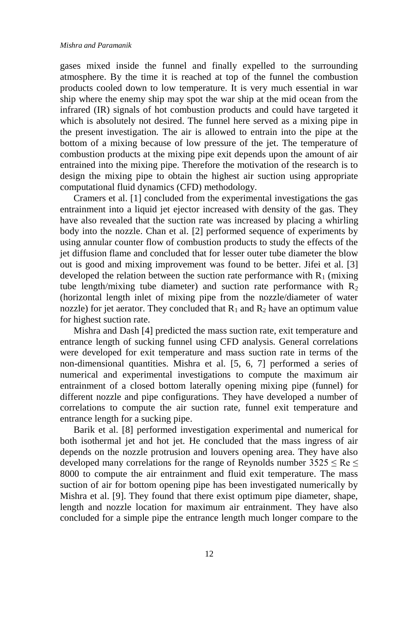gases mixed inside the funnel and finally expelled to the surrounding atmosphere. By the time it is reached at top of the funnel the combustion products cooled down to low temperature. It is very much essential in war ship where the enemy ship may spot the war ship at the mid ocean from the infrared (IR) signals of hot combustion products and could have targeted it which is absolutely not desired. The funnel here served as a mixing pipe in the present investigation. The air is allowed to entrain into the pipe at the bottom of a mixing because of low pressure of the jet. The temperature of combustion products at the mixing pipe exit depends upon the amount of air entrained into the mixing pipe. Therefore the motivation of the research is to design the mixing pipe to obtain the highest air suction using appropriate computational fluid dynamics (CFD) methodology.

Cramers et al. [1] concluded from the experimental investigations the gas entrainment into a liquid jet ejector increased with density of the gas. They have also revealed that the suction rate was increased by placing a whirling body into the nozzle. Chan et al. [2] performed sequence of experiments by using annular counter flow of combustion products to study the effects of the jet diffusion flame and concluded that for lesser outer tube diameter the blow out is good and mixing improvement was found to be better. Jifei et al. [3] developed the relation between the suction rate performance with  $R_1$  (mixing tube length/mixing tube diameter) and suction rate performance with  $R_2$ (horizontal length inlet of mixing pipe from the nozzle/diameter of water nozzle) for jet aerator. They concluded that  $R_1$  and  $R_2$  have an optimum value for highest suction rate.

Mishra and Dash [4] predicted the mass suction rate, exit temperature and entrance length of sucking funnel using CFD analysis. General correlations were developed for exit temperature and mass suction rate in terms of the non-dimensional quantities. Mishra et al. [5, 6, 7] performed a series of numerical and experimental investigations to compute the maximum air entrainment of a closed bottom laterally opening mixing pipe (funnel) for different nozzle and pipe configurations. They have developed a number of correlations to compute the air suction rate, funnel exit temperature and entrance length for a sucking pipe.

Barik et al. [8] performed investigation experimental and numerical for both isothermal jet and hot jet. He concluded that the mass ingress of air depends on the nozzle protrusion and louvers opening area. They have also developed many correlations for the range of Reynolds number  $3525 \leq Re \leq$ 8000 to compute the air entrainment and fluid exit temperature. The mass suction of air for bottom opening pipe has been investigated numerically by Mishra et al. [9]. They found that there exist optimum pipe diameter, shape, length and nozzle location for maximum air entrainment. They have also concluded for a simple pipe the entrance length much longer compare to the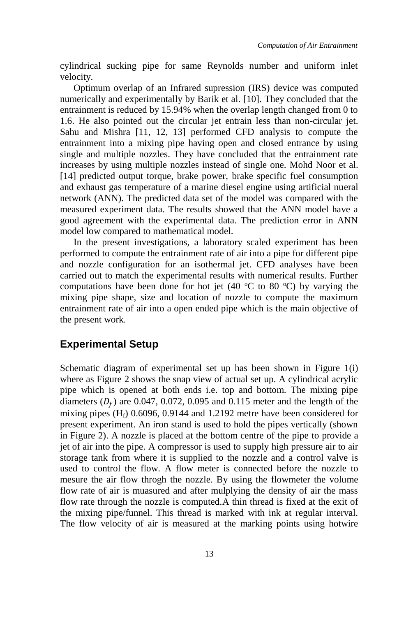cylindrical sucking pipe for same Reynolds number and uniform inlet velocity.

Optimum overlap of an Infrared supression (IRS) device was computed numerically and experimentally by Barik et al. [10]. They concluded that the entrainment is reduced by 15.94% when the overlap length changed from 0 to 1.6. He also pointed out the circular jet entrain less than non-circular jet. Sahu and Mishra [11, 12, 13] performed CFD analysis to compute the entrainment into a mixing pipe having open and closed entrance by using single and multiple nozzles. They have concluded that the entrainment rate increases by using multiple nozzles instead of single one. Mohd Noor et al. [14] predicted output torque, brake power, brake specific fuel consumption and exhaust gas temperature of a marine diesel engine using artificial nueral network (ANN). The predicted data set of the model was compared with the measured experiment data. The results showed that the ANN model have a good agreement with the experimental data. The prediction error in ANN model low compared to mathematical model.

In the present investigations, a laboratory scaled experiment has been performed to compute the entrainment rate of air into a pipe for different pipe and nozzle configuration for an isothermal jet. CFD analyses have been carried out to match the experimental results with numerical results. Further computations have been done for hot jet (40  $\degree$ C to 80  $\degree$ C) by varying the mixing pipe shape, size and location of nozzle to compute the maximum entrainment rate of air into a open ended pipe which is the main objective of the present work.

## **Experimental Setup**

Schematic diagram of experimental set up has been shown in Figure 1(i) where as Figure 2 shows the snap view of actual set up. A cylindrical acrylic pipe which is opened at both ends i.e. top and bottom. The mixing pipe diameters  $(D_f)$  are 0.047, 0.072, 0.095 and 0.115 meter and the length of the mixing pipes  $(H_f)$  0.6096, 0.9144 and 1.2192 metre have been considered for present experiment. An iron stand is used to hold the pipes vertically (shown in Figure 2). A nozzle is placed at the bottom centre of the pipe to provide a jet of air into the pipe. A compressor is used to supply high pressure air to air storage tank from where it is supplied to the nozzle and a control valve is used to control the flow. A flow meter is connected before the nozzle to mesure the air flow throgh the nozzle. By using the flowmeter the volume flow rate of air is muasured and after mulplying the density of air the mass flow rate through the nozzle is computed.A thin thread is fixed at the exit of the mixing pipe/funnel. This thread is marked with ink at regular interval. The flow velocity of air is measured at the marking points using hotwire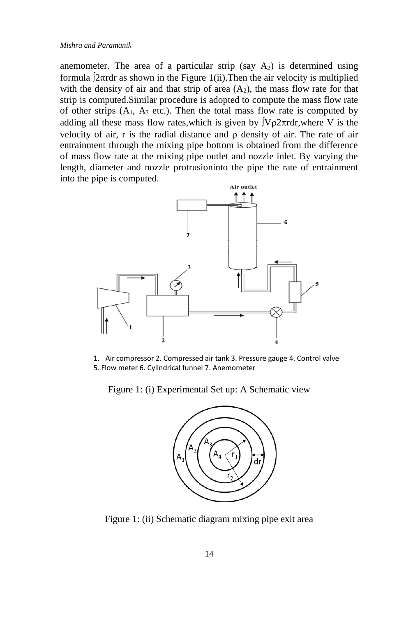anemometer. The area of a particular strip (say  $A_2$ ) is determined using formula  $2\pi$ rdr as shown in the Figure 1(ii). Then the air velocity is multiplied with the density of air and that strip of area  $(A_2)$ , the mass flow rate for that strip is computed.Similar procedure is adopted to compute the mass flow rate of other strips  $(A_1, A_3$  etc.). Then the total mass flow rate is computed by adding all these mass flow rates, which is given by  $\sqrt{V\rho^2 \pi r}$  dr, where V is the velocity of air, r is the radial distance and  $\rho$  density of air. The rate of air entrainment through the mixing pipe bottom is obtained from the difference of mass flow rate at the mixing pipe outlet and nozzle inlet. By varying the length, diameter and nozzle protrusioninto the pipe the rate of entrainment into the pipe is computed.



1. Air compressor 2. Compressed air tank 3. Pressure gauge 4. Control valve 5. Flow meter 6. Cylindrical funnel 7. Anemometer

Figure 1: (i) Experimental Set up: A Schematic view



Figure 1: (ii) Schematic diagram mixing pipe exit area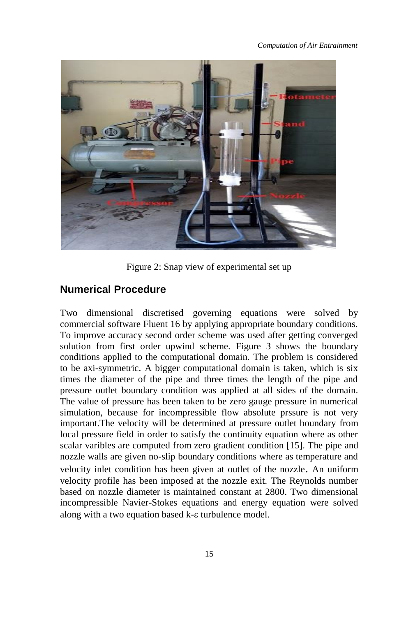

Figure 2: Snap view of experimental set up

## **Numerical Procedure**

Two dimensional discretised governing equations were solved by commercial software Fluent 16 by applying appropriate boundary conditions. To improve accuracy second order scheme was used after getting converged solution from first order upwind scheme. Figure 3 shows the boundary conditions applied to the computational domain. The problem is considered to be axi-symmetric. A bigger computational domain is taken, which is six times the diameter of the pipe and three times the length of the pipe and pressure outlet boundary condition was applied at all sides of the domain. The value of pressure has been taken to be zero gauge pressure in numerical simulation, because for incompressible flow absolute prssure is not very important.The velocity will be determined at pressure outlet boundary from local pressure field in order to satisfy the continuity equation where as other scalar varibles are computed from zero gradient condition [15]. The pipe and nozzle walls are given no-slip boundary conditions where as temperature and velocity inlet condition has been given at outlet of the nozzle. An uniform velocity profile has been imposed at the nozzle exit. The Reynolds number based on nozzle diameter is maintained constant at 2800. Two dimensional incompressible Navier-Stokes equations and energy equation were solved along with a two equation based  $k$ - $\varepsilon$  turbulence model.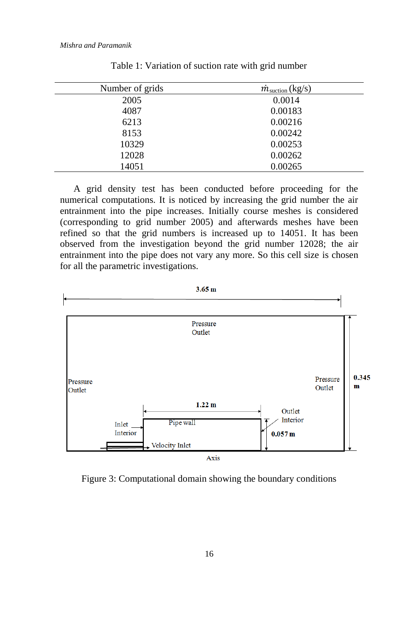| Number of grids | $\dot{m}_{\text{suction}}$ (kg/s) |
|-----------------|-----------------------------------|
| 2005            | 0.0014                            |
| 4087            | 0.00183                           |
| 6213            | 0.00216                           |
| 8153            | 0.00242                           |
| 10329           | 0.00253                           |
| 12028           | 0.00262                           |
| 14051           | 0.00265                           |

Table 1: Variation of suction rate with grid number

A grid density test has been conducted before proceeding for the numerical computations. It is noticed by increasing the grid number the air entrainment into the pipe increases. Initially course meshes is considered (corresponding to grid number 2005) and afterwards meshes have been refined so that the grid numbers is increased up to 14051. It has been observed from the investigation beyond the grid number 12028; the air entrainment into the pipe does not vary any more. So this cell size is chosen for all the parametric investigations.



Figure 3: Computational domain showing the boundary conditions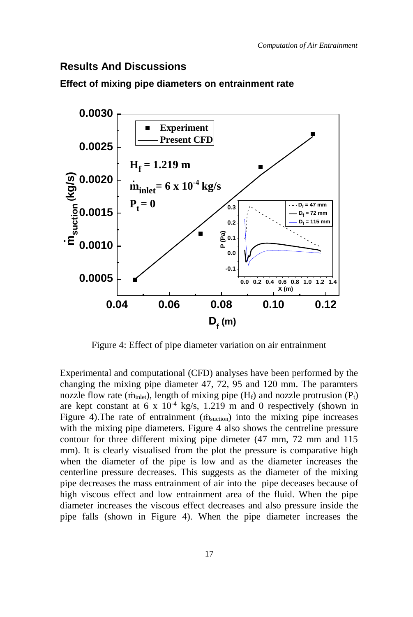## **Results And Discussions**



**Effect of mixing pipe diameters on entrainment rate** 

Figure 4: Effect of pipe diameter variation on air entrainment

Experimental and computational (CFD) analyses have been performed by the changing the mixing pipe diameter 47, 72, 95 and 120 mm. The paramters nozzle flow rate ( $\dot{m}_{\text{inlet}}$ ), length of mixing pipe ( $H_f$ ) and nozzle protrusion ( $P_t$ ) are kept constant at 6 x  $10^{-4}$  kg/s, 1.219 m and 0 respectively (shown in Figure 4). The rate of entrainment  $(m<sub>suction</sub>)$  into the mixing pipe increases with the mixing pipe diameters. Figure 4 also shows the centreline pressure contour for three different mixing pipe dimeter (47 mm, 72 mm and 115 mm). It is clearly visualised from the plot the pressure is comparative high when the diameter of the pipe is low and as the diameter increases the centerline pressure decreases. This suggests as the diameter of the mixing pipe decreases the mass entrainment of air into the pipe deceases because of high viscous effect and low entrainment area of the fluid. When the pipe diameter increases the viscous effect decreases and also pressure inside the pipe falls (shown in Figure 4). When the pipe diameter increases the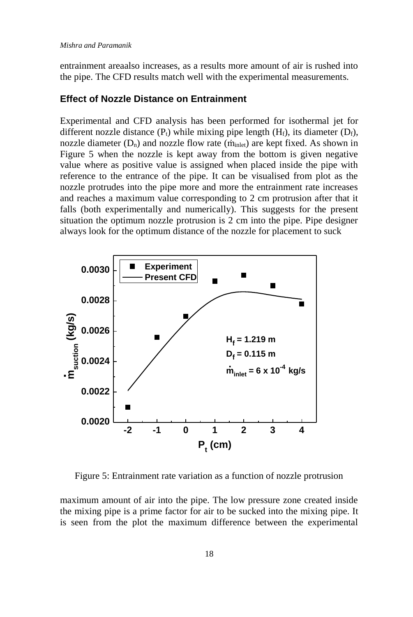#### *Mishra and Paramanik*

entrainment areaalso increases, as a results more amount of air is rushed into the pipe. The CFD results match well with the experimental measurements.

#### **Effect of Nozzle Distance on Entrainment**

Experimental and CFD analysis has been performed for isothermal jet for different nozzle distance  $(P_t)$  while mixing pipe length  $(H_f)$ , its diameter  $(D_f)$ , nozzle diameter  $(D_n)$  and nozzle flow rate  $(\dot{m}_{\text{inlet}})$  are kept fixed. As shown in Figure 5 when the nozzle is kept away from the bottom is given negative value where as positive value is assigned when placed inside the pipe with reference to the entrance of the pipe. It can be visualised from plot as the nozzle protrudes into the pipe more and more the entrainment rate increases and reaches a maximum value corresponding to 2 cm protrusion after that it falls (both experimentally and numerically). This suggests for the present situation the optimum nozzle protrusion is 2 cm into the pipe. Pipe designer always look for the optimum distance of the nozzle for placement to suck



Figure 5: Entrainment rate variation as a function of nozzle protrusion

maximum amount of air into the pipe. The low pressure zone created inside the mixing pipe is a prime factor for air to be sucked into the mixing pipe. It is seen from the plot the maximum difference between the experimental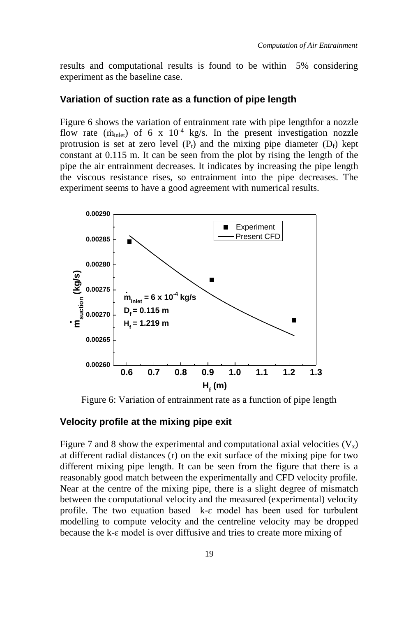results and computational results is found to be within 5% considering experiment as the baseline case.

#### **Variation of suction rate as a function of pipe length**

Figure 6 shows the variation of entrainment rate with pipe lengthfor a nozzle flow rate ( $\dot{m}_{\text{inlet}}$ ) of 6 x 10<sup>-4</sup> kg/s. In the present investigation nozzle protrusion is set at zero level  $(P_t)$  and the mixing pipe diameter  $(D_f)$  kept constant at 0.115 m. It can be seen from the plot by rising the length of the pipe the air entrainment decreases. It indicates by increasing the pipe length the viscous resistance rises, so entrainment into the pipe decreases. The experiment seems to have a good agreement with numerical results.



Figure 6: Variation of entrainment rate as a function of pipe length

#### **Velocity profile at the mixing pipe exit**

Figure 7 and 8 show the experimental and computational axial velocities  $(V_x)$ at different radial distances (r) on the exit surface of the mixing pipe for two different mixing pipe length. It can be seen from the figure that there is a reasonably good match between the experimentally and CFD velocity profile. Near at the centre of the mixing pipe, there is a slight degree of mismatch between the computational velocity and the measured (experimental) velocity profile. The two equation based  $k-\varepsilon$  model has been used for turbulent modelling to compute velocity and the centreline velocity may be dropped because the k-ɛ model is over diffusive and tries to create more mixing of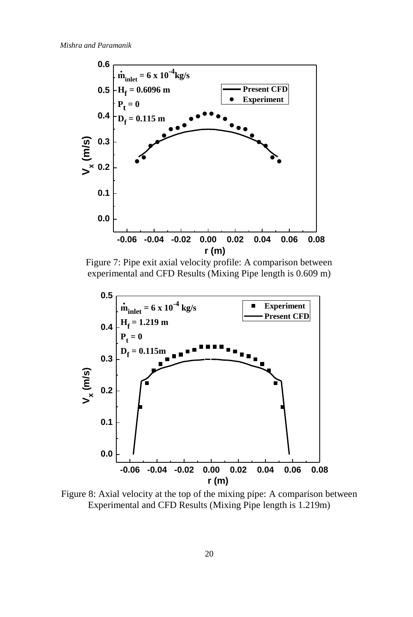

Figure 7: Pipe exit axial velocity profile: A comparison between experimental and CFD Results (Mixing Pipe length is 0.609 m)



Figure 8: Axial velocity at the top of the mixing pipe: A comparison between Experimental and CFD Results (Mixing Pipe length is 1.219m)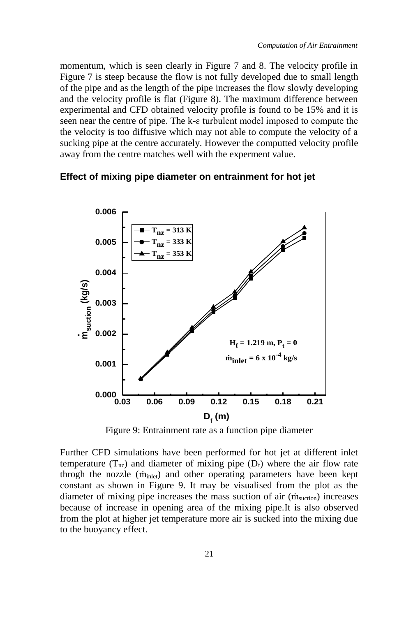momentum, which is seen clearly in Figure 7 and 8. The velocity profile in Figure 7 is steep because the flow is not fully developed due to small length of the pipe and as the length of the pipe increases the flow slowly developing and the velocity profile is flat (Figure 8). The maximum difference between experimental and CFD obtained velocity profile is found to be 15% and it is seen near the centre of pipe. The k-ɛ turbulent model imposed to compute the the velocity is too diffusive which may not able to compute the velocity of a sucking pipe at the centre accurately. However the computted velocity profile away from the centre matches well with the experment value.

#### **Effect of mixing pipe diameter on entrainment for hot jet**



Figure 9: Entrainment rate as a function pipe diameter

Further CFD simulations have been performed for hot jet at different inlet temperature  $(T_{nz})$  and diameter of mixing pipe  $(D_f)$  where the air flow rate throgh the nozzle (m<sub>inlet</sub>) and other operating parameters have been kept constant as shown in Figure 9. It may be visualised from the plot as the diameter of mixing pipe increases the mass suction of air  $(m<sub>suction</sub>)$  increases because of increase in opening area of the mixing pipe.It is also observed from the plot at higher jet temperature more air is sucked into the mixing due to the buoyancy effect.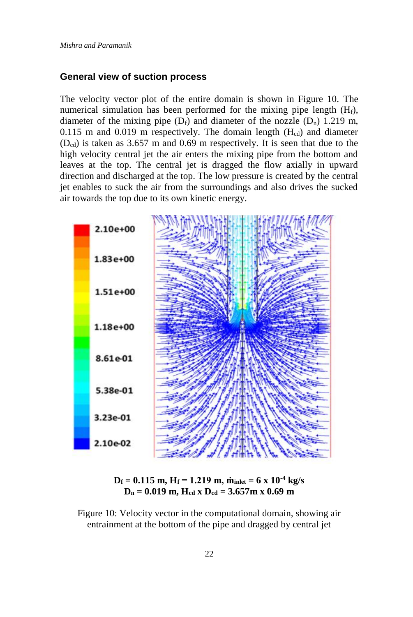#### **General view of suction process**

The velocity vector plot of the entire domain is shown in Figure 10. The numerical simulation has been performed for the mixing pipe length  $(H_f)$ , diameter of the mixing pipe  $(D_f)$  and diameter of the nozzle  $(D_n)$  1.219 m, 0.115 m and 0.019 m respectively. The domain length  $(H_{cd})$  and diameter  $(D_{cd})$  is taken as 3.657 m and 0.69 m respectively. It is seen that due to the high velocity central jet the air enters the mixing pipe from the bottom and leaves at the top. The central jet is dragged the flow axially in upward direction and discharged at the top. The low pressure is created by the central jet enables to suck the air from the surroundings and also drives the sucked air towards the top due to its own kinetic energy.





Figure 10: Velocity vector in the computational domain, showing air entrainment at the bottom of the pipe and dragged by central jet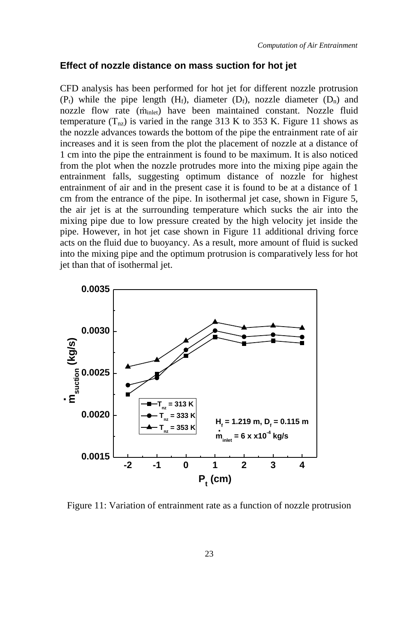#### **Effect of nozzle distance on mass suction for hot jet**

CFD analysis has been performed for hot jet for different nozzle protrusion  $(P_t)$  while the pipe length  $(H_f)$ , diameter  $(D_f)$ , nozzle diameter  $(D_n)$  and nozzle flow rate (m<sub>inlet</sub>) have been maintained constant. Nozzle fluid temperature  $(T_{nz})$  is varied in the range 313 K to 353 K. Figure 11 shows as the nozzle advances towards the bottom of the pipe the entrainment rate of air increases and it is seen from the plot the placement of nozzle at a distance of 1 cm into the pipe the entrainment is found to be maximum. It is also noticed from the plot when the nozzle protrudes more into the mixing pipe again the entrainment falls, suggesting optimum distance of nozzle for highest entrainment of air and in the present case it is found to be at a distance of 1 cm from the entrance of the pipe. In isothermal jet case, shown in Figure 5, the air jet is at the surrounding temperature which sucks the air into the mixing pipe due to low pressure created by the high velocity jet inside the pipe. However, in hot jet case shown in Figure 11 additional driving force acts on the fluid due to buoyancy. As a result, more amount of fluid is sucked into the mixing pipe and the optimum protrusion is comparatively less for hot jet than that of isothermal jet.



Figure 11: Variation of entrainment rate as a function of nozzle protrusion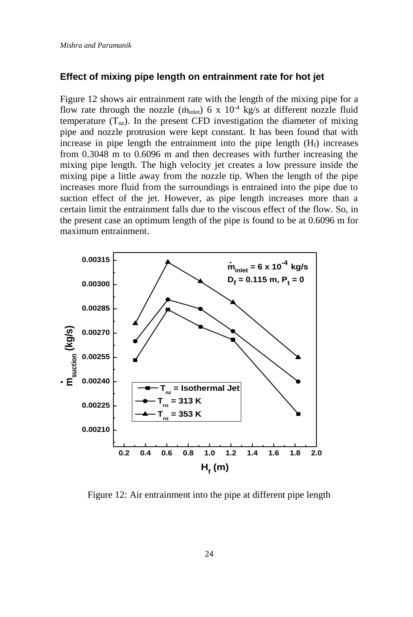#### **Effect of mixing pipe length on entrainment rate for hot jet**

Figure 12 shows air entrainment rate with the length of the mixing pipe for a flow rate through the nozzle ( $\dot{m}_{\text{inlet}}$ ) 6 x 10<sup>-4</sup> kg/s at different nozzle fluid temperature  $(T_{nz})$ . In the present CFD investigation the diameter of mixing pipe and nozzle protrusion were kept constant. It has been found that with increase in pipe length the entrainment into the pipe length  $(H_f)$  increases from 0.3048 m to 0.6096 m and then decreases with further increasing the mixing pipe length. The high velocity jet creates a low pressure inside the mixing pipe a little away from the nozzle tip. When the length of the pipe increases more fluid from the surroundings is entrained into the pipe due to suction effect of the jet. However, as pipe length increases more than a certain limit the entrainment falls due to the viscous effect of the flow. So, in the present case an optimum length of the pipe is found to be at 0.6096 m for maximum entrainment.



Figure 12: Air entrainment into the pipe at different pipe length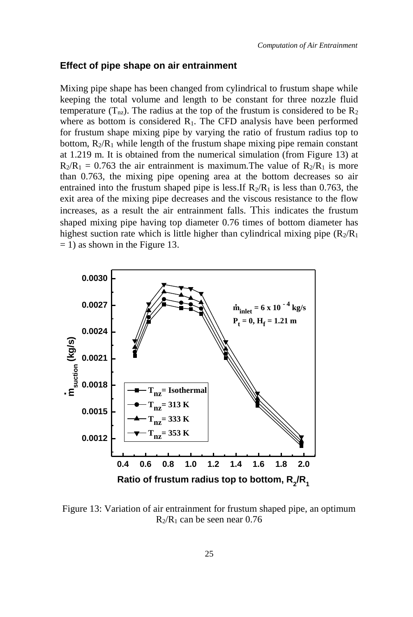#### **Effect of pipe shape on air entrainment**

Mixing pipe shape has been changed from cylindrical to frustum shape while keeping the total volume and length to be constant for three nozzle fluid temperature  $(T_{nz})$ . The radius at the top of the frustum is considered to be  $R_2$ where as bottom is considered  $R_1$ . The CFD analysis have been performed for frustum shape mixing pipe by varying the ratio of frustum radius top to bottom,  $R_2/R_1$  while length of the frustum shape mixing pipe remain constant at 1.219 m. It is obtained from the numerical simulation (from Figure 13) at  $R_2/R_1 = 0.763$  the air entrainment is maximum. The value of  $R_2/R_1$  is more than 0.763, the mixing pipe opening area at the bottom decreases so air entrained into the frustum shaped pipe is less. If  $R_2/R_1$  is less than 0.763, the exit area of the mixing pipe decreases and the viscous resistance to the flow increases, as a result the air entrainment falls. This indicates the frustum shaped mixing pipe having top diameter 0.76 times of bottom diameter has highest suction rate which is little higher than cylindrical mixing pipe  $(R_2/R_1)$  $= 1$ ) as shown in the Figure 13.



Figure 13: Variation of air entrainment for frustum shaped pipe, an optimum  $R_2/R_1$  can be seen near 0.76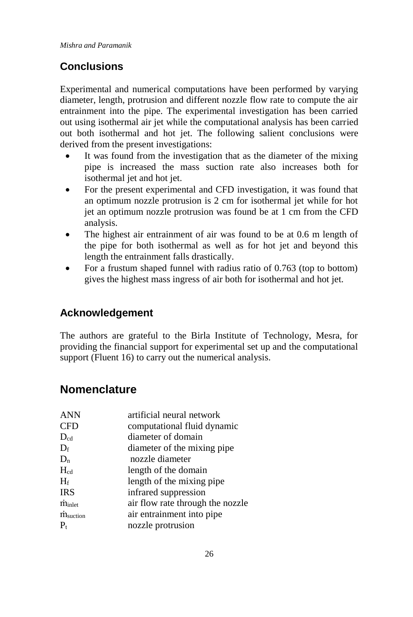# **Conclusions**

Experimental and numerical computations have been performed by varying diameter, length, protrusion and different nozzle flow rate to compute the air entrainment into the pipe. The experimental investigation has been carried out using isothermal air jet while the computational analysis has been carried out both isothermal and hot jet. The following salient conclusions were derived from the present investigations:

- It was found from the investigation that as the diameter of the mixing pipe is increased the mass suction rate also increases both for isothermal jet and hot jet.
- For the present experimental and CFD investigation, it was found that an optimum nozzle protrusion is 2 cm for isothermal jet while for hot jet an optimum nozzle protrusion was found be at 1 cm from the CFD analysis.
- The highest air entrainment of air was found to be at 0.6 m length of the pipe for both isothermal as well as for hot jet and beyond this length the entrainment falls drastically.
- For a frustum shaped funnel with radius ratio of 0.763 (top to bottom) gives the highest mass ingress of air both for isothermal and hot jet.

# **Acknowledgement**

The authors are grateful to the Birla Institute of Technology, Mesra, for providing the financial support for experimental set up and the computational support (Fluent 16) to carry out the numerical analysis.

# **Nomenclature**

| artificial neural network        |
|----------------------------------|
| computational fluid dynamic      |
| diameter of domain               |
| diameter of the mixing pipe      |
| nozzle diameter                  |
| length of the domain             |
| length of the mixing pipe        |
| infrared suppression             |
| air flow rate through the nozzle |
| air entrainment into pipe        |
| nozzle protrusion                |
|                                  |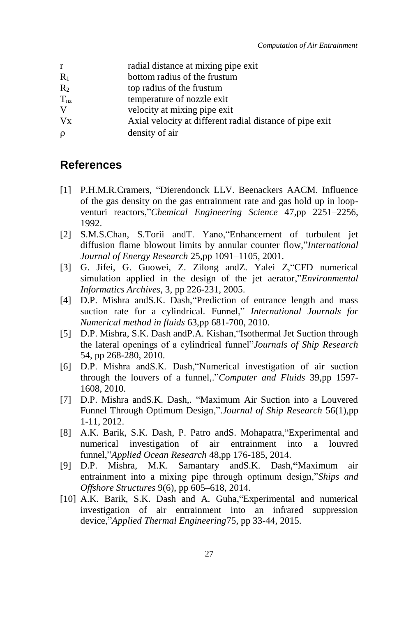| r              | radial distance at mixing pipe exit |
|----------------|-------------------------------------|
| $R_1$          | bottom radius of the frustum        |
| $\mathbb{R}^2$ | top radius of the frustum           |
| $T_{nz}$       | temperature of nozzle exit          |

- V velocity at mixing pipe exit
- Vx Axial velocity at different radial distance of pipe exit
- density of air

## **References**

- [1] P.H.M.R.Cramers, "Dierendonck LLV. Beenackers AACM. Influence of the gas density on the gas entrainment rate and gas hold up in loopventuri reactors,"*Chemical Engineering Science* 47,pp 2251–2256, 1992.
- [2] S.M.S.Chan, S.Torii andT. Yano,"Enhancement of turbulent jet diffusion flame blowout limits by annular counter flow,"*International Journal of Energy Research* 25,pp 1091–1105, 2001.
- [3] G. Jifei, G. Guowei, Z. Zilong andZ. Yalei Z,"CFD numerical simulation applied in the design of the jet aerator,"*Environmental Informatics Archives*, 3, pp 226-231, 2005.
- [4] D.P. Mishra and S.K. Dash, "Prediction of entrance length and mass suction rate for a cylindrical. Funnel," *International Journals for Numerical method in fluids* 63,pp 681-700, 2010.
- [5] D.P. Mishra, S.K. Dash andP.A. Kishan,"Isothermal Jet Suction through the lateral openings of a cylindrical funnel"*Journals of Ship Research* 54, pp 268-280, 2010.
- [6] D.P. Mishra andS.K. Dash,"Numerical investigation of air suction through the louvers of a funnel,."*Computer and Fluids* 39,pp 1597- 1608, 2010.
- [7] D.P. Mishra andS.K. Dash,. "Maximum Air Suction into a Louvered Funnel Through Optimum Design,".*Journal of Ship Research* 56(1),pp 1-11, 2012.
- [8] A.K. Barik, S.K. Dash, P. Patro andS. Mohapatra,"Experimental and numerical investigation of air entrainment into a louvred funnel,"*Applied Ocean Research* 48,pp 176-185, 2014.
- [9] D.P. Mishra, M.K. Samantary andS.K. Dash,**"**Maximum air entrainment into a mixing pipe through optimum design,"*Ships and Offshore Structures* 9(6), pp 605–618, 2014.
- [10] A.K. Barik, S.K. Dash and A. Guha, "Experimental and numerical investigation of air entrainment into an infrared suppression device,"*Applied Thermal Engineering*75, pp 33-44, 2015.